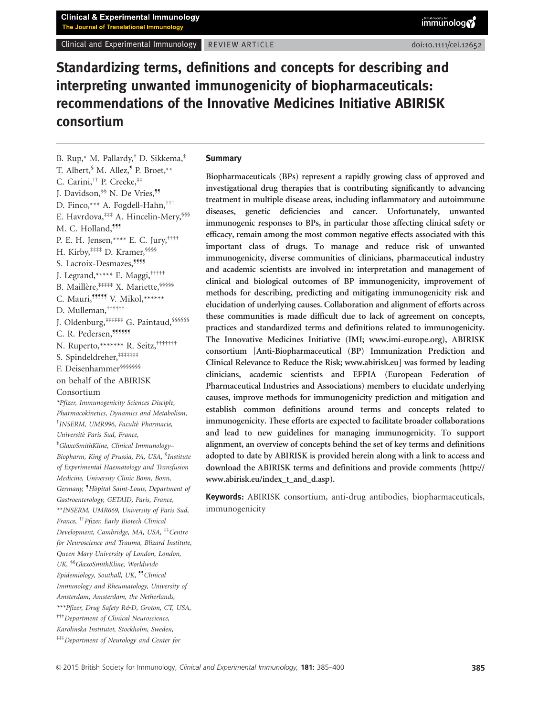Clinical and Experimental Immunology REVIEW ARTICLE doi:10.111/cei.12652

Standardizing terms, definitions and concepts for describing and interpreting unwanted immunogenicity of biopharmaceuticals: recommendations of the Innovative Medicines Initiative ABIRISK consortium

B. Rup,\* M. Pallardy,† D. Sikkema,‡ T. Albert,  $M$ . Allez, P. Broet, \*\* C. Carini,†† P. Creeke,‡‡ J. Davidson, <sup>§§</sup> N. De Vries,<sup>99</sup> D. Finco,\*\*\* A. Fogdell-Hahn,††† E. Havrdova,<sup>###</sup> A. Hincelin-Mery,<sup>§§§</sup> M. C. Holland,<sup>555</sup> P. E. H. Jensen,\*\*\*\* E. C. Jury,†††† H. Kirby,<sup>‡‡‡‡</sup> D. Kramer, §§§§§ S. Lacroix-Desmazes,<sup>1111</sup> J. Legrand,\*\*\*\*\* E. Maggi,††††† B. Maillère,<sup>####</sup> X. Mariette, §§§§§§ C. Mauri,<sup>55555</sup> V. Mikol,\*\*\*\*\*\* D. Mulleman,<sup>††††††</sup> J. Oldenburg,‡‡‡‡‡‡ G. Paintaud,§§§§§§ C. R. Pedersen,<sup>999999</sup> N. Ruperto,\*\*\*\*\*\*\* R. Seitz,††††††† S. Spindeldreher,<sup>######</sup> F. Deisenhammer§§§§§§§ on behalf of the ABIRISK Consortium \*Pfizer, Immunogenicity Sciences Disciple, Pharmacokinetics, Dynamics and Metabolism, <sup>†</sup>INSERM, UMR996, Faculté Pharmacie, Université Paris Sud, France, ‡ GlaxoSmithKline, Clinical Immunology– Biopharm, King of Prussia, PA, USA, <sup>§</sup>Institute of Experimental Haematology and Transfusion Medicine, University Clinic Bonn, Bonn, Germany, <sup>¶</sup>Hôpital Saint-Louis, Department of Gastroenterology, GETAID, Paris, France, \*\*INSERM, UMR669, University of Paris Sud, France, ††Pfizer, Early Biotech Clinical Development, Cambridge, MA, USA, ‡‡Centre for Neuroscience and Trauma, Blizard Institute, Queen Mary University of London, London, UK, §§GlaxoSmithKline, Worldwide Epidemiology, Southall, UK, <sup>55</sup>Clinical Immunology and Rheumatology, University of Amsterdam, Amsterdam, the Netherlands, \*\*\*Pfizer, Drug Safety R&D, Groton, CT, USA, †††Department of Clinical Neuroscience, Karolinska Institutet, Stockholm, Sweden, ‡‡‡Department of Neurology and Center for

### **Summary**

Biopharmaceuticals (BPs) represent a rapidly growing class of approved and investigational drug therapies that is contributing significantly to advancing treatment in multiple disease areas, including inflammatory and autoimmune diseases, genetic deficiencies and cancer. Unfortunately, unwanted immunogenic responses to BPs, in particular those affecting clinical safety or efficacy, remain among the most common negative effects associated with this important class of drugs. To manage and reduce risk of unwanted immunogenicity, diverse communities of clinicians, pharmaceutical industry and academic scientists are involved in: interpretation and management of clinical and biological outcomes of BP immunogenicity, improvement of methods for describing, predicting and mitigating immunogenicity risk and elucidation of underlying causes. Collaboration and alignment of efforts across these communities is made difficult due to lack of agreement on concepts, practices and standardized terms and definitions related to immunogenicity. The Innovative Medicines Initiative (IMI; [www.imi-europe.org\)](http://www.imi-europe.org), ABIRISK consortium [Anti-Biopharmaceutical (BP) Immunization Prediction and Clinical Relevance to Reduce the Risk; [www.abirisk.eu\]](http://www.abirisk.eu) was formed by leading clinicians, academic scientists and EFPIA (European Federation of Pharmaceutical Industries and Associations) members to elucidate underlying causes, improve methods for immunogenicity prediction and mitigation and establish common definitions around terms and concepts related to immunogenicity. These efforts are expected to facilitate broader collaborations and lead to new guidelines for managing immunogenicity. To support alignment, an overview of concepts behind the set of key terms and definitions adopted to date by ABIRISK is provided herein along with a link to access and download the ABIRISK terms and definitions and provide comments ([http://](http://www.abirisk.eu/index_t_and_d.asp) [www.abirisk.eu/index\\_t\\_and\\_d.asp](http://www.abirisk.eu/index_t_and_d.asp)).

Keywords: ABIRISK consortium, anti-drug antibodies, biopharmaceuticals, immunogenicity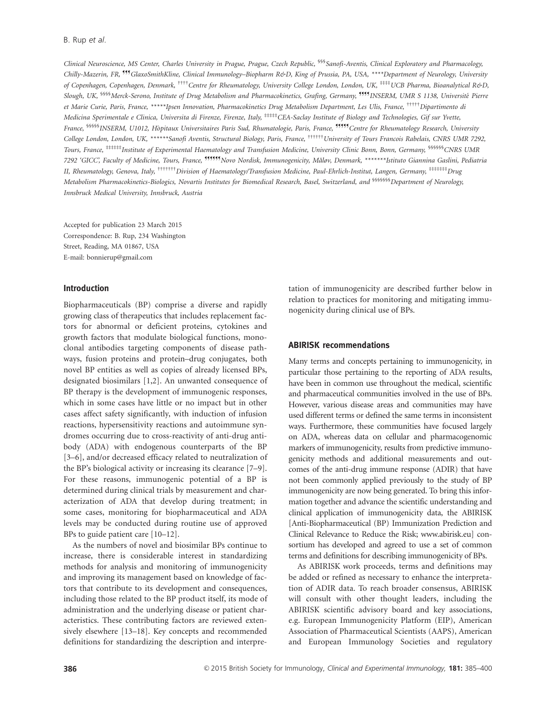Clinical Neuroscience, MS Center, Charles University in Prague, Prague, Czech Republic, <sup>§§§</sup>Sanofi-Aventis, Clinical Exploratory and Pharmacology, Chilly-Mazerin, FR, 555 GlaxoSmithKline, Clinical Immunology-Biopharm R&D, King of Prussia, PA, USA, \*\*\*\*Department of Neurology, University of Copenhagen, Copenhagen, Denmark, <sup>††††</sup>Centre for Rheumatology, University College London, London, UK, <sup>‡‡‡‡</sup>UCB Pharma, Bioanalytical R&D, Slough, UK, <sup>§§§§</sup>Merck-Serono, Institute of Drug Metabolism and Pharmacokinetics, Grafing, Germany, <sup>¶¶¶</sup>INSERM, UMR S 1138, Universitê Pierre et Marie Curie, Paris, France, \*\*\*\*\*Ipsen Innovation, Pharmacokinetics Drug Metabolism Department, Les Ulis, France, †††††Dipartimento di Medicina Sperimentale e Clinica, Universita di Firenze, Firenze, Italy, <sup>‡‡‡‡‡</sup>CEA-Saclay Institute of Biology and Technologies, Gif sur Yvette, France, <sup>§§§§§</sup>INSERM, U1012, Hôpitaux Universitaires Paris Sud, Rhumatologie, Paris, France, <sup>99999</sup> Centre for Rheumatology Research, University College London, London, UK, \*\*\*\*\*\*Sanofi Aventis, Structural Biology, Paris, France, ††††††University of Tours Francois Rabelais, CNRS UMR 7292, Tours, France,  $\frac{1}{2}$ # $\frac{1}{2}$  Thstitute of Experimental Haematology and Transfusion Medicine, University Clinic Bonn, Bonn, Germany,  $\frac{5}{5}$ SSSSSCNRS UMR 7292 'GICC', Faculty of Medicine, Tours, France, "1999" Novo Nordisk, Immunogenicity, Måløv, Denmark, \*\*\*\*\*\*\*Istituto Giannina Gaslini, Pediatria II, Rheumatology, Genova, Italy, <sup>†††††††</sup>Division of Haematology/Transfusion Medicine, Paul-Ehrlich-Institut, Langen, Germany, <sup>‡‡‡‡‡‡‡</sup>Drug Metabolism Pharmacokinetics-Biologics, Novartis Institutes for Biomedical Research, Basel, Switzerland, and <sup>§§§§§§§</sup>Department of Neurology, Innsbruck Medical University, Innsbruck, Austria

Accepted for publication 23 March 2015 Correspondence: B. Rup, 234 Washington Street, Reading, MA 01867, USA E-mail: bonnierup@gmail.com

#### Introduction

Biopharmaceuticals (BP) comprise a diverse and rapidly growing class of therapeutics that includes replacement factors for abnormal or deficient proteins, cytokines and growth factors that modulate biological functions, monoclonal antibodies targeting components of disease pathways, fusion proteins and protein–drug conjugates, both novel BP entities as well as copies of already licensed BPs, designated biosimilars [1,2]. An unwanted consequence of BP therapy is the development of immunogenic responses, which in some cases have little or no impact but in other cases affect safety significantly, with induction of infusion reactions, hypersensitivity reactions and autoimmune syndromes occurring due to cross-reactivity of anti-drug antibody (ADA) with endogenous counterparts of the BP [3–6], and/or decreased efficacy related to neutralization of the BP's biological activity or increasing its clearance [7–9]. For these reasons, immunogenic potential of a BP is determined during clinical trials by measurement and characterization of ADA that develop during treatment; in some cases, monitoring for biopharmaceutical and ADA levels may be conducted during routine use of approved BPs to guide patient care [10–12].

As the numbers of novel and biosimilar BPs continue to increase, there is considerable interest in standardizing methods for analysis and monitoring of immunogenicity and improving its management based on knowledge of factors that contribute to its development and consequences, including those related to the BP product itself, its mode of administration and the underlying disease or patient characteristics. These contributing factors are reviewed extensively elsewhere [13–18]. Key concepts and recommended definitions for standardizing the description and interpretation of immunogenicity are described further below in relation to practices for monitoring and mitigating immunogenicity during clinical use of BPs.

### ABIRISK recommendations

Many terms and concepts pertaining to immunogenicity, in particular those pertaining to the reporting of ADA results, have been in common use throughout the medical, scientific and pharmaceutical communities involved in the use of BPs. However, various disease areas and communities may have used different terms or defined the same terms in inconsistent ways. Furthermore, these communities have focused largely on ADA, whereas data on cellular and pharmacogenomic markers of immunogenicity, results from predictive immunogenicity methods and additional measurements and outcomes of the anti-drug immune response (ADIR) that have not been commonly applied previously to the study of BP immunogenicity are now being generated. To bring this information together and advance the scientific understanding and clinical application of immunogenicity data, the ABIRISK [Anti-Biopharmaceutical (BP) Immunization Prediction and Clinical Relevance to Reduce the Risk; www.abirisk.eu] consortium has developed and agreed to use a set of common terms and definitions for describing immunogenicity of BPs.

As ABIRISK work proceeds, terms and definitions may be added or refined as necessary to enhance the interpretation of ADIR data. To reach broader consensus, ABIRISK will consult with other thought leaders, including the ABIRISK scientific advisory board and key associations, e.g. European Immunogenicity Platform (EIP), American Association of Pharmaceutical Scientists (AAPS), American and European Immunology Societies and regulatory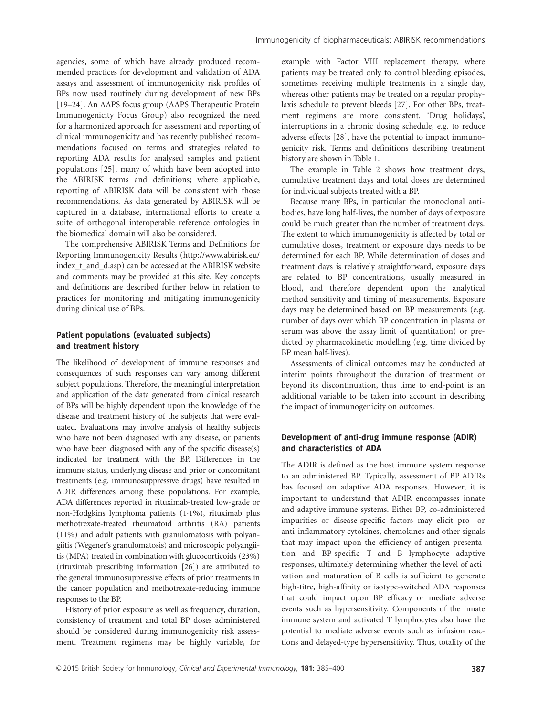agencies, some of which have already produced recommended practices for development and validation of ADA assays and assessment of immunogenicity risk profiles of BPs now used routinely during development of new BPs [19–24]. An AAPS focus group (AAPS Therapeutic Protein Immunogenicity Focus Group) also recognized the need for a harmonized approach for assessment and reporting of clinical immunogenicity and has recently published recommendations focused on terms and strategies related to reporting ADA results for analysed samples and patient populations [25], many of which have been adopted into the ABIRISK terms and definitions; where applicable, reporting of ABIRISK data will be consistent with those recommendations. As data generated by ABIRISK will be captured in a database, international efforts to create a suite of orthogonal interoperable reference ontologies in the biomedical domain will also be considered.

The comprehensive ABIRISK Terms and Definitions for Reporting Immunogenicity Results ([http://www.abirisk.eu/](http://www.abirisk.eu/index_t_and_d.asp) [index\\_t\\_and\\_d.asp\)](http://www.abirisk.eu/index_t_and_d.asp) can be accessed at the ABIRISK website and comments may be provided at this site. Key concepts and definitions are described further below in relation to practices for monitoring and mitigating immunogenicity during clinical use of BPs.

# Patient populations (evaluated subjects) and treatment history

The likelihood of development of immune responses and consequences of such responses can vary among different subject populations. Therefore, the meaningful interpretation and application of the data generated from clinical research of BPs will be highly dependent upon the knowledge of the disease and treatment history of the subjects that were evaluated. Evaluations may involve analysis of healthy subjects who have not been diagnosed with any disease, or patients who have been diagnosed with any of the specific disease(s) indicated for treatment with the BP. Differences in the immune status, underlying disease and prior or concomitant treatments (e.g. immunosuppressive drugs) have resulted in ADIR differences among these populations. For example, ADA differences reported in rituximab-treated low-grade or non-Hodgkins lymphoma patients (1-1%), rituximab plus methotrexate-treated rheumatoid arthritis (RA) patients (11%) and adult patients with granulomatosis with polyangiitis (Wegener's granulomatosis) and microscopic polyangiitis (MPA) treated in combination with glucocorticoids (23%) (rituximab prescribing information [26]) are attributed to the general immunosuppressive effects of prior treatments in the cancer population and methotrexate-reducing immune responses to the BP.

History of prior exposure as well as frequency, duration, consistency of treatment and total BP doses administered should be considered during immunogenicity risk assessment. Treatment regimens may be highly variable, for

example with Factor VIII replacement therapy, where patients may be treated only to control bleeding episodes, sometimes receiving multiple treatments in a single day, whereas other patients may be treated on a regular prophylaxis schedule to prevent bleeds [27]. For other BPs, treatment regimens are more consistent. 'Drug holidays', interruptions in a chronic dosing schedule, e.g. to reduce adverse effects [28], have the potential to impact immunogenicity risk. Terms and definitions describing treatment history are shown in Table 1.

The example in Table 2 shows how treatment days, cumulative treatment days and total doses are determined for individual subjects treated with a BP.

Because many BPs, in particular the monoclonal antibodies, have long half-lives, the number of days of exposure could be much greater than the number of treatment days. The extent to which immunogenicity is affected by total or cumulative doses, treatment or exposure days needs to be determined for each BP. While determination of doses and treatment days is relatively straightforward, exposure days are related to BP concentrations, usually measured in blood, and therefore dependent upon the analytical method sensitivity and timing of measurements. Exposure days may be determined based on BP measurements (e.g. number of days over which BP concentration in plasma or serum was above the assay limit of quantitation) or predicted by pharmacokinetic modelling (e.g. time divided by BP mean half-lives).

Assessments of clinical outcomes may be conducted at interim points throughout the duration of treatment or beyond its discontinuation, thus time to end-point is an additional variable to be taken into account in describing the impact of immunogenicity on outcomes.

# Development of anti-drug immune response (ADIR) and characteristics of ADA

The ADIR is defined as the host immune system response to an administered BP. Typically, assessment of BP ADIRs has focused on adaptive ADA responses. However, it is important to understand that ADIR encompasses innate and adaptive immune systems. Either BP, co-administered impurities or disease-specific factors may elicit pro- or anti-inflammatory cytokines, chemokines and other signals that may impact upon the efficiency of antigen presentation and BP-specific T and B lymphocyte adaptive responses, ultimately determining whether the level of activation and maturation of B cells is sufficient to generate high-titre, high-affinity or isotype-switched ADA responses that could impact upon BP efficacy or mediate adverse events such as hypersensitivity. Components of the innate immune system and activated T lymphocytes also have the potential to mediate adverse events such as infusion reactions and delayed-type hypersensitivity. Thus, totality of the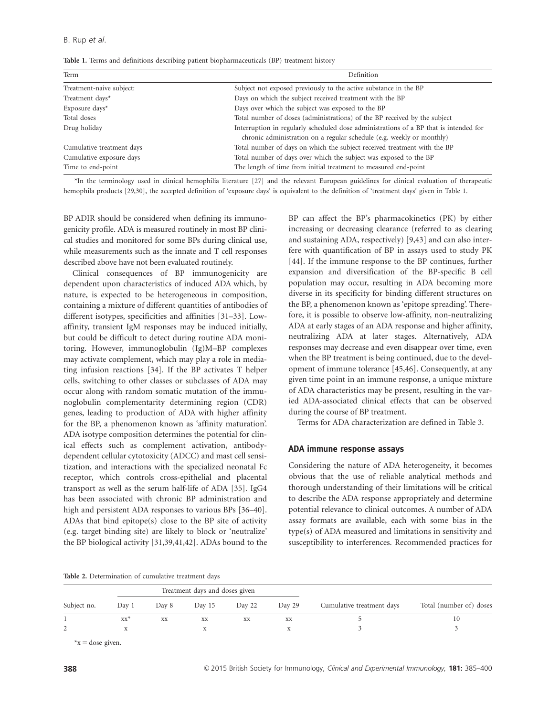|  |  |  |  | Table 1. Terms and definitions describing patient biopharmaceuticals (BP) treatment history |  |  |
|--|--|--|--|---------------------------------------------------------------------------------------------|--|--|
|--|--|--|--|---------------------------------------------------------------------------------------------|--|--|

| Term                      | Definition                                                                                                                                                     |
|---------------------------|----------------------------------------------------------------------------------------------------------------------------------------------------------------|
| Treatment-naive subject:  | Subject not exposed previously to the active substance in the BP                                                                                               |
| Treatment days*           | Days on which the subject received treatment with the BP                                                                                                       |
| Exposure days*            | Days over which the subject was exposed to the BP                                                                                                              |
| Total doses               | Total number of doses (administrations) of the BP received by the subject                                                                                      |
| Drug holiday              | Interruption in regularly scheduled dose administrations of a BP that is intended for<br>chronic administration on a regular schedule (e.g. weekly or monthly) |
| Cumulative treatment days | Total number of days on which the subject received treatment with the BP                                                                                       |
| Cumulative exposure days  | Total number of days over which the subject was exposed to the BP                                                                                              |
| Time to end-point         | The length of time from initial treatment to measured end-point                                                                                                |

\*In the terminology used in clinical hemophilia literature [27] and the relevant European guidelines for clinical evaluation of therapeutic hemophila products [29,30], the accepted definition of 'exposure days' is equivalent to the definition of 'treatment days' given in Table 1.

BP ADIR should be considered when defining its immunogenicity profile. ADA is measured routinely in most BP clinical studies and monitored for some BPs during clinical use, while measurements such as the innate and T cell responses described above have not been evaluated routinely.

Clinical consequences of BP immunogenicity are dependent upon characteristics of induced ADA which, by nature, is expected to be heterogeneous in composition, containing a mixture of different quantities of antibodies of different isotypes, specificities and affinities [31–33]. Lowaffinity, transient IgM responses may be induced initially, but could be difficult to detect during routine ADA monitoring. However, immunoglobulin (Ig)M–BP complexes may activate complement, which may play a role in mediating infusion reactions [34]. If the BP activates T helper cells, switching to other classes or subclasses of ADA may occur along with random somatic mutation of the immunoglobulin complementarity determining region (CDR) genes, leading to production of ADA with higher affinity for the BP, a phenomenon known as 'affinity maturation'. ADA isotype composition determines the potential for clinical effects such as complement activation, antibodydependent cellular cytotoxicity (ADCC) and mast cell sensitization, and interactions with the specialized neonatal Fc receptor, which controls cross-epithelial and placental transport as well as the serum half-life of ADA [35]. IgG4 has been associated with chronic BP administration and high and persistent ADA responses to various BPs [36–40]. ADAs that bind epitope(s) close to the BP site of activity (e.g. target binding site) are likely to block or 'neutralize' the BP biological activity [31,39,41,42]. ADAs bound to the

Table 2. Determination of cumulative treatment days

BP can affect the BP's pharmacokinetics (PK) by either increasing or decreasing clearance (referred to as clearing and sustaining ADA, respectively) [9,43] and can also interfere with quantification of BP in assays used to study PK [44]. If the immune response to the BP continues, further expansion and diversification of the BP-specific B cell population may occur, resulting in ADA becoming more diverse in its specificity for binding different structures on the BP, a phenomenon known as 'epitope spreading'. Therefore, it is possible to observe low-affinity, non-neutralizing ADA at early stages of an ADA response and higher affinity, neutralizing ADA at later stages. Alternatively, ADA responses may decrease and even disappear over time, even when the BP treatment is being continued, due to the development of immune tolerance [45,46]. Consequently, at any given time point in an immune response, a unique mixture of ADA characteristics may be present, resulting in the varied ADA-associated clinical effects that can be observed during the course of BP treatment.

Terms for ADA characterization are defined in Table 3.

#### ADA immune response assays

Considering the nature of ADA heterogeneity, it becomes obvious that the use of reliable analytical methods and thorough understanding of their limitations will be critical to describe the ADA response appropriately and determine potential relevance to clinical outcomes. A number of ADA assay formats are available, each with some bias in the type(s) of ADA measured and limitations in sensitivity and susceptibility to interferences. Recommended practices for

|             |                 |    | Treatment days and doses given |    |        |                           |                         |  |  |
|-------------|-----------------|----|--------------------------------|----|--------|---------------------------|-------------------------|--|--|
| Subject no. | Day 1           |    | Dav 15<br>Day 8                |    | Day 29 | Cumulative treatment days | Total (number of) doses |  |  |
|             | XX <sup>3</sup> | XX | XX                             | XX | XX     |                           |                         |  |  |
|             |                 |    |                                |    |        |                           |                         |  |  |

 $x =$  dose given.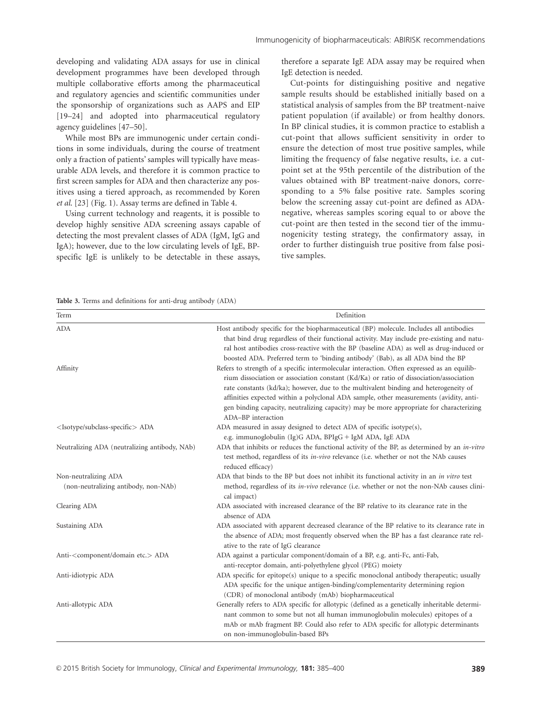developing and validating ADA assays for use in clinical development programmes have been developed through multiple collaborative efforts among the pharmaceutical and regulatory agencies and scientific communities under the sponsorship of organizations such as AAPS and EIP [19–24] and adopted into pharmaceutical regulatory agency guidelines [47–50].

While most BPs are immunogenic under certain conditions in some individuals, during the course of treatment only a fraction of patients' samples will typically have measurable ADA levels, and therefore it is common practice to first screen samples for ADA and then characterize any positives using a tiered approach, as recommended by Koren et al. [23] (Fig. 1). Assay terms are defined in Table 4.

Using current technology and reagents, it is possible to develop highly sensitive ADA screening assays capable of detecting the most prevalent classes of ADA (IgM, IgG and IgA); however, due to the low circulating levels of IgE, BPspecific IgE is unlikely to be detectable in these assays,

therefore a separate IgE ADA assay may be required when IgE detection is needed.

Cut-points for distinguishing positive and negative sample results should be established initially based on a statistical analysis of samples from the BP treatment-naive patient population (if available) or from healthy donors. In BP clinical studies, it is common practice to establish a cut-point that allows sufficient sensitivity in order to ensure the detection of most true positive samples, while limiting the frequency of false negative results, i.e. a cutpoint set at the 95th percentile of the distribution of the values obtained with BP treatment-naive donors, corresponding to a 5% false positive rate. Samples scoring below the screening assay cut-point are defined as ADAnegative, whereas samples scoring equal to or above the cut-point are then tested in the second tier of the immunogenicity testing strategy, the confirmatory assay, in order to further distinguish true positive from false positive samples.

Table 3. Terms and definitions for anti-drug antibody (ADA)

| Term                                                         | Definition                                                                                                                                                                                                                                                                                                                                                                                                                                                                               |
|--------------------------------------------------------------|------------------------------------------------------------------------------------------------------------------------------------------------------------------------------------------------------------------------------------------------------------------------------------------------------------------------------------------------------------------------------------------------------------------------------------------------------------------------------------------|
| <b>ADA</b>                                                   | Host antibody specific for the biopharmaceutical (BP) molecule. Includes all antibodies<br>that bind drug regardless of their functional activity. May include pre-existing and natu-<br>ral host antibodies cross-reactive with the BP (baseline ADA) as well as drug-induced or<br>boosted ADA. Preferred term to 'binding antibody' (Bab), as all ADA bind the BP                                                                                                                     |
| Affinity                                                     | Refers to strength of a specific intermolecular interaction. Often expressed as an equilib-<br>rium dissociation or association constant (Kd/Ka) or ratio of dissociation/association<br>rate constants (kd/ka); however, due to the multivalent binding and heterogeneity of<br>affinities expected within a polyclonal ADA sample, other measurements (avidity, anti-<br>gen binding capacity, neutralizing capacity) may be more appropriate for characterizing<br>ADA-BP interaction |
| <isotype subclass-specific=""> ADA</isotype>                 | ADA measured in assay designed to detect ADA of specific isotype(s),<br>e.g. immunoglobulin (Ig)G ADA, BPIgG + IgM ADA, IgE ADA                                                                                                                                                                                                                                                                                                                                                          |
| Neutralizing ADA (neutralizing antibody, NAb)                | ADA that inhibits or reduces the functional activity of the BP, as determined by an in-vitro<br>test method, regardless of its <i>in-vivo</i> relevance (i.e. whether or not the NAb causes<br>reduced efficacy)                                                                                                                                                                                                                                                                         |
| Non-neutralizing ADA<br>(non-neutralizing antibody, non-NAb) | ADA that binds to the BP but does not inhibit its functional activity in an <i>in vitro</i> test<br>method, regardless of its <i>in-vivo</i> relevance (i.e. whether or not the non-NAb causes clini-<br>cal impact)                                                                                                                                                                                                                                                                     |
| Clearing ADA                                                 | ADA associated with increased clearance of the BP relative to its clearance rate in the<br>absence of ADA                                                                                                                                                                                                                                                                                                                                                                                |
| Sustaining ADA                                               | ADA associated with apparent decreased clearance of the BP relative to its clearance rate in<br>the absence of ADA; most frequently observed when the BP has a fast clearance rate rel-<br>ative to the rate of IgG clearance                                                                                                                                                                                                                                                            |
| Anti- <component domain="" etc.=""> ADA</component>          | ADA against a particular component/domain of a BP, e.g. anti-Fc, anti-Fab,<br>anti-receptor domain, anti-polyethylene glycol (PEG) moiety                                                                                                                                                                                                                                                                                                                                                |
| Anti-idiotypic ADA                                           | ADA specific for epitope(s) unique to a specific monoclonal antibody therapeutic; usually<br>ADA specific for the unique antigen-binding/complementarity determining region<br>(CDR) of monoclonal antibody (mAb) biopharmaceutical                                                                                                                                                                                                                                                      |
| Anti-allotypic ADA                                           | Generally refers to ADA specific for allotypic (defined as a genetically inheritable determi-<br>nant common to some but not all human immunoglobulin molecules) epitopes of a<br>mAb or mAb fragment BP. Could also refer to ADA specific for allotypic determinants<br>on non-immunoglobulin-based BPs                                                                                                                                                                                 |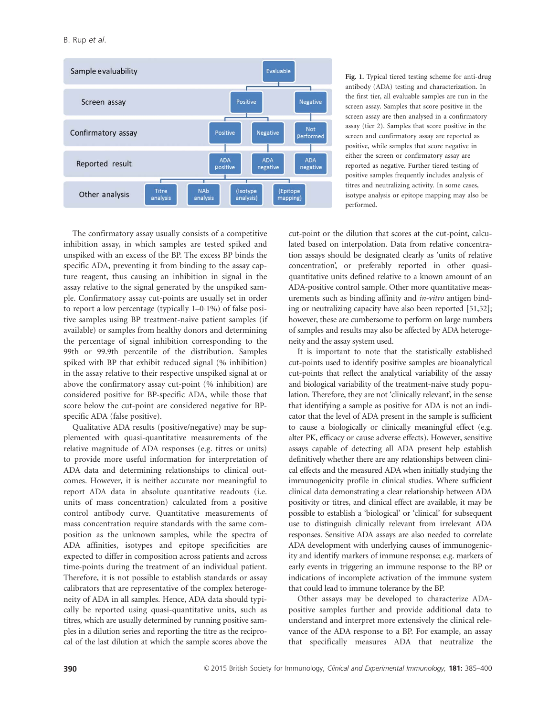

Fig. 1. Typical tiered testing scheme for anti-drug antibody (ADA) testing and characterization. In the first tier, all evaluable samples are run in the screen assay. Samples that score positive in the screen assay are then analysed in a confirmatory assay (tier 2). Samples that score positive in the screen and confirmatory assay are reported as positive, while samples that score negative in either the screen or confirmatory assay are reported as negative. Further tiered testing of positive samples frequently includes analysis of titres and neutralizing activity. In some cases, isotype analysis or epitope mapping may also be performed.

The confirmatory assay usually consists of a competitive inhibition assay, in which samples are tested spiked and unspiked with an excess of the BP. The excess BP binds the specific ADA, preventing it from binding to the assay capture reagent, thus causing an inhibition in signal in the assay relative to the signal generated by the unspiked sample. Confirmatory assay cut-points are usually set in order to report a low percentage (typically 1–0-1%) of false positive samples using BP treatment-naive patient samples (if available) or samples from healthy donors and determining the percentage of signal inhibition corresponding to the 99th or 99.9th percentile of the distribution. Samples spiked with BP that exhibit reduced signal (% inhibition) in the assay relative to their respective unspiked signal at or above the confirmatory assay cut-point (% inhibition) are considered positive for BP-specific ADA, while those that score below the cut-point are considered negative for BPspecific ADA (false positive).

Qualitative ADA results (positive/negative) may be supplemented with quasi-quantitative measurements of the relative magnitude of ADA responses (e.g. titres or units) to provide more useful information for interpretation of ADA data and determining relationships to clinical outcomes. However, it is neither accurate nor meaningful to report ADA data in absolute quantitative readouts (i.e. units of mass concentration) calculated from a positive control antibody curve. Quantitative measurements of mass concentration require standards with the same composition as the unknown samples, while the spectra of ADA affinities, isotypes and epitope specificities are expected to differ in composition across patients and across time-points during the treatment of an individual patient. Therefore, it is not possible to establish standards or assay calibrators that are representative of the complex heterogeneity of ADA in all samples. Hence, ADA data should typically be reported using quasi-quantitative units, such as titres, which are usually determined by running positive samples in a dilution series and reporting the titre as the reciprocal of the last dilution at which the sample scores above the

cut-point or the dilution that scores at the cut-point, calculated based on interpolation. Data from relative concentration assays should be designated clearly as 'units of relative concentration', or preferably reported in other quasiquantitative units defined relative to a known amount of an ADA-positive control sample. Other more quantitative measurements such as binding affinity and in-vitro antigen binding or neutralizing capacity have also been reported [51,52]; however, these are cumbersome to perform on large numbers of samples and results may also be affected by ADA heterogeneity and the assay system used.

It is important to note that the statistically established cut-points used to identify positive samples are bioanalytical cut-points that reflect the analytical variability of the assay and biological variability of the treatment-naive study population. Therefore, they are not 'clinically relevant', in the sense that identifying a sample as positive for ADA is not an indicator that the level of ADA present in the sample is sufficient to cause a biologically or clinically meaningful effect (e.g. alter PK, efficacy or cause adverse effects). However, sensitive assays capable of detecting all ADA present help establish definitively whether there are any relationships between clinical effects and the measured ADA when initially studying the immunogenicity profile in clinical studies. Where sufficient clinical data demonstrating a clear relationship between ADA positivity or titres, and clinical effect are available, it may be possible to establish a 'biological' or 'clinical' for subsequent use to distinguish clinically relevant from irrelevant ADA responses. Sensitive ADA assays are also needed to correlate ADA development with underlying causes of immunogenicity and identify markers of immune response; e.g. markers of early events in triggering an immune response to the BP or indications of incomplete activation of the immune system that could lead to immune tolerance by the BP.

Other assays may be developed to characterize ADApositive samples further and provide additional data to understand and interpret more extensively the clinical relevance of the ADA response to a BP. For example, an assay that specifically measures ADA that neutralize the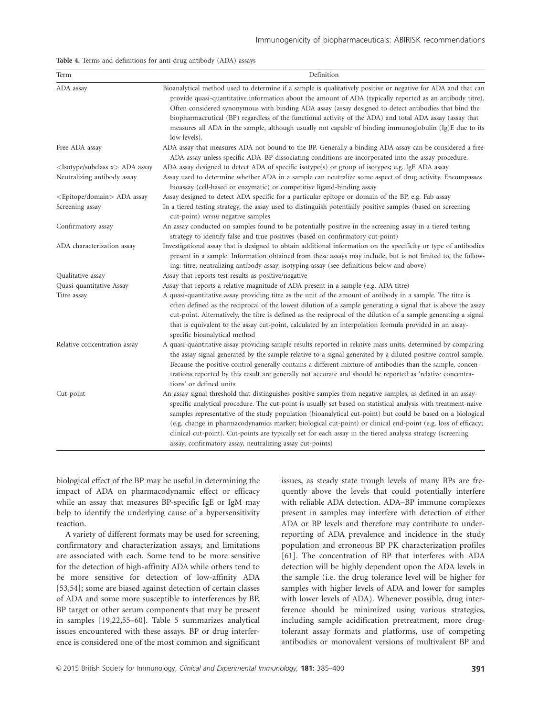|  |  |  |  | <b>Table 4.</b> Terms and definitions for anti-drug antibody (ADA) assays |  |  |  |  |  |
|--|--|--|--|---------------------------------------------------------------------------|--|--|--|--|--|
|--|--|--|--|---------------------------------------------------------------------------|--|--|--|--|--|

| Term                                                                | Definition                                                                                                                                                                                                                                                                                                                                                                                                                                                                                                                                                                                                                                |
|---------------------------------------------------------------------|-------------------------------------------------------------------------------------------------------------------------------------------------------------------------------------------------------------------------------------------------------------------------------------------------------------------------------------------------------------------------------------------------------------------------------------------------------------------------------------------------------------------------------------------------------------------------------------------------------------------------------------------|
| ADA assay                                                           | Bioanalytical method used to determine if a sample is qualitatively positive or negative for ADA and that can<br>provide quasi-quantitative information about the amount of ADA (typically reported as an antibody titre).<br>Often considered synonymous with binding ADA assay (assay designed to detect antibodies that bind the<br>biopharmaceutical (BP) regardless of the functional activity of the ADA) and total ADA assay (assay that<br>measures all ADA in the sample, although usually not capable of binding immunoglobulin (Ig)E due to its<br>low levels).                                                                |
| Free ADA assay                                                      | ADA assay that measures ADA not bound to the BP. Generally a binding ADA assay can be considered a free<br>ADA assay unless specific ADA-BP dissociating conditions are incorporated into the assay procedure.                                                                                                                                                                                                                                                                                                                                                                                                                            |
| $<$ Isotype/subclass $x$ > ADA assay<br>Neutralizing antibody assay | ADA assay designed to detect ADA of specific isotype(s) or group of isotypes; e.g. IgE ADA assay<br>Assay used to determine whether ADA in a sample can neutralize some aspect of drug activity. Encompasses<br>bioassay (cell-based or enzymatic) or competitive ligand-binding assay                                                                                                                                                                                                                                                                                                                                                    |
| <epitope domain=""> ADA assay<br/>Screening assay</epitope>         | Assay designed to detect ADA specific for a particular epitope or domain of the BP, e.g. Fab assay<br>In a tiered testing strategy, the assay used to distinguish potentially positive samples (based on screening<br>cut-point) versus negative samples                                                                                                                                                                                                                                                                                                                                                                                  |
| Confirmatory assay                                                  | An assay conducted on samples found to be potentially positive in the screening assay in a tiered testing<br>strategy to identify false and true positives (based on confirmatory cut-point)                                                                                                                                                                                                                                                                                                                                                                                                                                              |
| ADA characterization assay                                          | Investigational assay that is designed to obtain additional information on the specificity or type of antibodies<br>present in a sample. Information obtained from these assays may include, but is not limited to, the follow-<br>ing: titre, neutralizing antibody assay, isotyping assay (see definitions below and above)                                                                                                                                                                                                                                                                                                             |
| Qualitative assay                                                   | Assay that reports test results as positive/negative                                                                                                                                                                                                                                                                                                                                                                                                                                                                                                                                                                                      |
| Quasi-quantitative Assay                                            | Assay that reports a relative magnitude of ADA present in a sample (e.g. ADA titre)                                                                                                                                                                                                                                                                                                                                                                                                                                                                                                                                                       |
| Titre assay                                                         | A quasi-quantitative assay providing titre as the unit of the amount of antibody in a sample. The titre is<br>often defined as the reciprocal of the lowest dilution of a sample generating a signal that is above the assay<br>cut-point. Alternatively, the titre is defined as the reciprocal of the dilution of a sample generating a signal<br>that is equivalent to the assay cut-point, calculated by an interpolation formula provided in an assay-<br>specific bioanalytical method                                                                                                                                              |
| Relative concentration assay                                        | A quasi-quantitative assay providing sample results reported in relative mass units, determined by comparing<br>the assay signal generated by the sample relative to a signal generated by a diluted positive control sample.<br>Because the positive control generally contains a different mixture of antibodies than the sample, concen-<br>trations reported by this result are generally not accurate and should be reported as 'relative concentra-<br>tions' or defined units                                                                                                                                                      |
| Cut-point                                                           | An assay signal threshold that distinguishes positive samples from negative samples, as defined in an assay-<br>specific analytical procedure. The cut-point is usually set based on statistical analysis with treatment-naive<br>samples representative of the study population (bioanalytical cut-point) but could be based on a biological<br>(e.g. change in pharmacodynamics marker; biological cut-point) or clinical end-point (e.g. loss of efficacy;<br>clinical cut-point). Cut-points are typically set for each assay in the tiered analysis strategy (screening<br>assay, confirmatory assay, neutralizing assay cut-points) |

biological effect of the BP may be useful in determining the impact of ADA on pharmacodynamic effect or efficacy while an assay that measures BP-specific IgE or IgM may help to identify the underlying cause of a hypersensitivity reaction.

A variety of different formats may be used for screening, confirmatory and characterization assays, and limitations are associated with each. Some tend to be more sensitive for the detection of high-affinity ADA while others tend to be more sensitive for detection of low-affinity ADA [53,54]; some are biased against detection of certain classes of ADA and some more susceptible to interferences by BP, BP target or other serum components that may be present in samples [19,22,55–60]. Table 5 summarizes analytical issues encountered with these assays. BP or drug interference is considered one of the most common and significant issues, as steady state trough levels of many BPs are frequently above the levels that could potentially interfere with reliable ADA detection. ADA–BP immune complexes present in samples may interfere with detection of either ADA or BP levels and therefore may contribute to underreporting of ADA prevalence and incidence in the study population and erroneous BP PK characterization profiles [61]. The concentration of BP that interferes with ADA detection will be highly dependent upon the ADA levels in the sample (i.e. the drug tolerance level will be higher for samples with higher levels of ADA and lower for samples with lower levels of ADA). Whenever possible, drug interference should be minimized using various strategies, including sample acidification pretreatment, more drugtolerant assay formats and platforms, use of competing antibodies or monovalent versions of multivalent BP and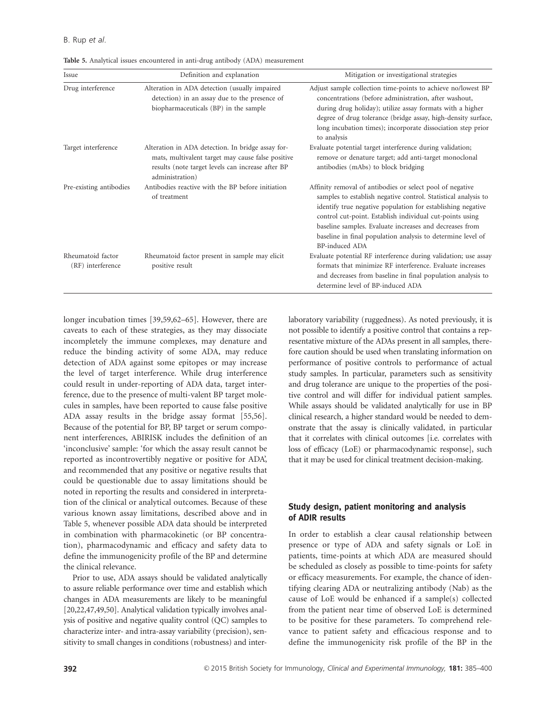| Issue                                  | Definition and explanation                                                                                                                                                     | Mitigation or investigational strategies                                                                                                                                                                                                                                                                                                                                                                  |
|----------------------------------------|--------------------------------------------------------------------------------------------------------------------------------------------------------------------------------|-----------------------------------------------------------------------------------------------------------------------------------------------------------------------------------------------------------------------------------------------------------------------------------------------------------------------------------------------------------------------------------------------------------|
| Drug interference                      | Alteration in ADA detection (usually impaired<br>detection) in an assay due to the presence of<br>biopharmaceuticals (BP) in the sample                                        | Adjust sample collection time-points to achieve no/lowest BP<br>concentrations (before administration, after washout,<br>during drug holiday); utilize assay formats with a higher<br>degree of drug tolerance (bridge assay, high-density surface,<br>long incubation times); incorporate dissociation step prior<br>to analysis                                                                         |
| Target interference                    | Alteration in ADA detection. In bridge assay for-<br>mats, multivalent target may cause false positive<br>results (note target levels can increase after BP<br>administration) | Evaluate potential target interference during validation;<br>remove or denature target; add anti-target monoclonal<br>antibodies (mAbs) to block bridging                                                                                                                                                                                                                                                 |
| Pre-existing antibodies                | Antibodies reactive with the BP before initiation<br>of treatment                                                                                                              | Affinity removal of antibodies or select pool of negative<br>samples to establish negative control. Statistical analysis to<br>identify true negative population for establishing negative<br>control cut-point. Establish individual cut-points using<br>baseline samples. Evaluate increases and decreases from<br>baseline in final population analysis to determine level of<br><b>BP-induced ADA</b> |
| Rheumatoid factor<br>(RF) interference | Rheumatoid factor present in sample may elicit<br>positive result                                                                                                              | Evaluate potential RF interference during validation; use assay<br>formats that minimize RF interference. Evaluate increases<br>and decreases from baseline in final population analysis to<br>determine level of BP-induced ADA                                                                                                                                                                          |

Table 5. Analytical issues encountered in anti-drug antibody (ADA) measurement

longer incubation times [39,59,62–65]. However, there are caveats to each of these strategies, as they may dissociate incompletely the immune complexes, may denature and reduce the binding activity of some ADA, may reduce detection of ADA against some epitopes or may increase the level of target interference. While drug interference could result in under-reporting of ADA data, target interference, due to the presence of multi-valent BP target molecules in samples, have been reported to cause false positive ADA assay results in the bridge assay format [55,56]. Because of the potential for BP, BP target or serum component interferences, ABIRISK includes the definition of an 'inconclusive' sample: 'for which the assay result cannot be reported as incontrovertibly negative or positive for ADA', and recommended that any positive or negative results that could be questionable due to assay limitations should be noted in reporting the results and considered in interpretation of the clinical or analytical outcomes. Because of these various known assay limitations, described above and in Table 5, whenever possible ADA data should be interpreted in combination with pharmacokinetic (or BP concentration), pharmacodynamic and efficacy and safety data to define the immunogenicity profile of the BP and determine the clinical relevance.

Prior to use, ADA assays should be validated analytically to assure reliable performance over time and establish which changes in ADA measurements are likely to be meaningful [20,22,47,49,50]. Analytical validation typically involves analysis of positive and negative quality control (QC) samples to characterize inter- and intra-assay variability (precision), sensitivity to small changes in conditions (robustness) and inter-

laboratory variability (ruggedness). As noted previously, it is not possible to identify a positive control that contains a representative mixture of the ADAs present in all samples, therefore caution should be used when translating information on performance of positive controls to performance of actual study samples. In particular, parameters such as sensitivity and drug tolerance are unique to the properties of the positive control and will differ for individual patient samples. While assays should be validated analytically for use in BP clinical research, a higher standard would be needed to demonstrate that the assay is clinically validated, in particular that it correlates with clinical outcomes [i.e. correlates with loss of efficacy (LoE) or pharmacodynamic response], such that it may be used for clinical treatment decision-making.

# Study design, patient monitoring and analysis of ADIR results

In order to establish a clear causal relationship between presence or type of ADA and safety signals or LoE in patients, time-points at which ADA are measured should be scheduled as closely as possible to time-points for safety or efficacy measurements. For example, the chance of identifying clearing ADA or neutralizing antibody (Nab) as the cause of LoE would be enhanced if a sample(s) collected from the patient near time of observed LoE is determined to be positive for these parameters. To comprehend relevance to patient safety and efficacious response and to define the immunogenicity risk profile of the BP in the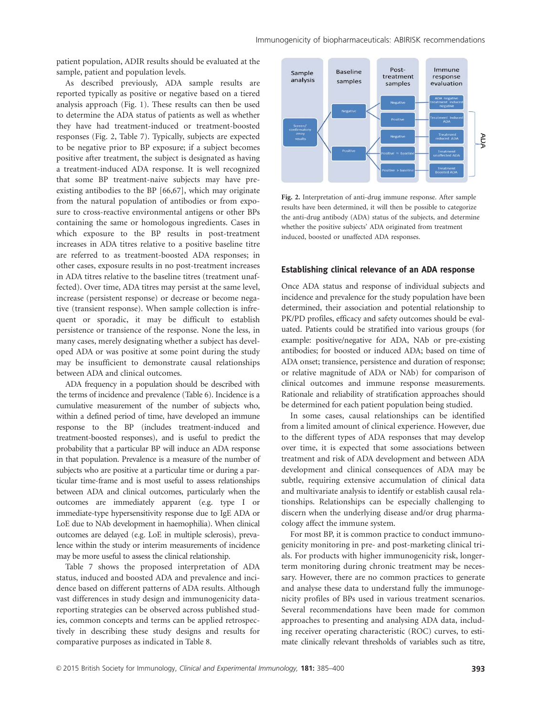patient population, ADIR results should be evaluated at the sample, patient and population levels.

As described previously, ADA sample results are reported typically as positive or negative based on a tiered analysis approach (Fig. 1). These results can then be used to determine the ADA status of patients as well as whether they have had treatment-induced or treatment-boosted responses (Fig. 2, Table 7). Typically, subjects are expected to be negative prior to BP exposure; if a subject becomes positive after treatment, the subject is designated as having a treatment-induced ADA response. It is well recognized that some BP treatment-naive subjects may have preexisting antibodies to the BP [66,67], which may originate from the natural population of antibodies or from exposure to cross-reactive environmental antigens or other BPs containing the same or homologous ingredients. Cases in which exposure to the BP results in post-treatment increases in ADA titres relative to a positive baseline titre are referred to as treatment-boosted ADA responses; in other cases, exposure results in no post-treatment increases in ADA titres relative to the baseline titres (treatment unaffected). Over time, ADA titres may persist at the same level, increase (persistent response) or decrease or become negative (transient response). When sample collection is infrequent or sporadic, it may be difficult to establish persistence or transience of the response. None the less, in many cases, merely designating whether a subject has developed ADA or was positive at some point during the study may be insufficient to demonstrate causal relationships between ADA and clinical outcomes.

ADA frequency in a population should be described with the terms of incidence and prevalence (Table 6). Incidence is a cumulative measurement of the number of subjects who, within a defined period of time, have developed an immune response to the BP (includes treatment-induced and treatment-boosted responses), and is useful to predict the probability that a particular BP will induce an ADA response in that population. Prevalence is a measure of the number of subjects who are positive at a particular time or during a particular time-frame and is most useful to assess relationships between ADA and clinical outcomes, particularly when the outcomes are immediately apparent (e.g. type I or immediate-type hypersensitivity response due to IgE ADA or LoE due to NAb development in haemophilia). When clinical outcomes are delayed (e.g. LoE in multiple sclerosis), prevalence within the study or interim measurements of incidence may be more useful to assess the clinical relationship.

Table 7 shows the proposed interpretation of ADA status, induced and boosted ADA and prevalence and incidence based on different patterns of ADA results. Although vast differences in study design and immunogenicity datareporting strategies can be observed across published studies, common concepts and terms can be applied retrospectively in describing these study designs and results for comparative purposes as indicated in Table 8.



Fig. 2. Interpretation of anti-drug immune response. After sample results have been determined, it will then be possible to categorize the anti-drug antibody (ADA) status of the subjects, and determine whether the positive subjects' ADA originated from treatment induced, boosted or unaffected ADA responses.

#### Establishing clinical relevance of an ADA response

Once ADA status and response of individual subjects and incidence and prevalence for the study population have been determined, their association and potential relationship to PK/PD profiles, efficacy and safety outcomes should be evaluated. Patients could be stratified into various groups (for example: positive/negative for ADA, NAb or pre-existing antibodies; for boosted or induced ADA; based on time of ADA onset; transience, persistence and duration of response; or relative magnitude of ADA or NAb) for comparison of clinical outcomes and immune response measurements. Rationale and reliability of stratification approaches should be determined for each patient population being studied.

In some cases, causal relationships can be identified from a limited amount of clinical experience. However, due to the different types of ADA responses that may develop over time, it is expected that some associations between treatment and risk of ADA development and between ADA development and clinical consequences of ADA may be subtle, requiring extensive accumulation of clinical data and multivariate analysis to identify or establish causal relationships. Relationships can be especially challenging to discern when the underlying disease and/or drug pharmacology affect the immune system.

For most BP, it is common practice to conduct immunogenicity monitoring in pre- and post-marketing clinical trials. For products with higher immunogenicity risk, longerterm monitoring during chronic treatment may be necessary. However, there are no common practices to generate and analyse these data to understand fully the immunogenicity profiles of BPs used in various treatment scenarios. Several recommendations have been made for common approaches to presenting and analysing ADA data, including receiver operating characteristic (ROC) curves, to estimate clinically relevant thresholds of variables such as titre,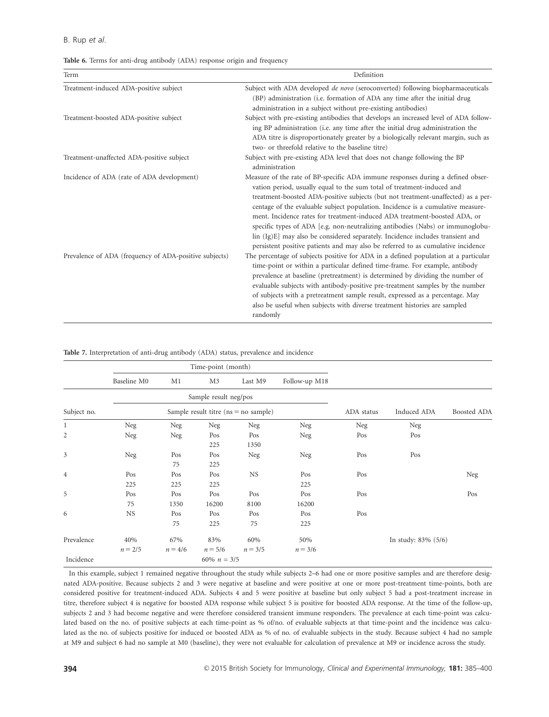|  |  |  |  |  |  |  |  |  | Table 6. Terms for anti-drug antibody (ADA) response origin and frequency |  |
|--|--|--|--|--|--|--|--|--|---------------------------------------------------------------------------|--|
|--|--|--|--|--|--|--|--|--|---------------------------------------------------------------------------|--|

| Term                                                   | Definition                                                                                                                                                                                                                                                                                                                                                                                                                                                                                                                                                                                                                                                            |
|--------------------------------------------------------|-----------------------------------------------------------------------------------------------------------------------------------------------------------------------------------------------------------------------------------------------------------------------------------------------------------------------------------------------------------------------------------------------------------------------------------------------------------------------------------------------------------------------------------------------------------------------------------------------------------------------------------------------------------------------|
| Treatment-induced ADA-positive subject                 | Subject with ADA developed <i>de novo</i> (seroconverted) following biopharmaceuticals<br>(BP) administration (i.e. formation of ADA any time after the initial drug<br>administration in a subject without pre-existing antibodies)                                                                                                                                                                                                                                                                                                                                                                                                                                  |
| Treatment-boosted ADA-positive subject                 | Subject with pre-existing antibodies that develops an increased level of ADA follow-<br>ing BP administration (i.e. any time after the initial drug administration the<br>ADA titre is disproportionately greater by a biologically relevant margin, such as<br>two- or threefold relative to the baseline titre)                                                                                                                                                                                                                                                                                                                                                     |
| Treatment-unaffected ADA-positive subject              | Subject with pre-existing ADA level that does not change following the BP<br>administration                                                                                                                                                                                                                                                                                                                                                                                                                                                                                                                                                                           |
| Incidence of ADA (rate of ADA development)             | Measure of the rate of BP-specific ADA immune responses during a defined obser-<br>vation period, usually equal to the sum total of treatment-induced and<br>treatment-boosted ADA-positive subjects (but not treatment-unaffected) as a per-<br>centage of the evaluable subject population. Incidence is a cumulative measure-<br>ment. Incidence rates for treatment-induced ADA treatment-boosted ADA, or<br>specific types of ADA [e.g. non-neutralizing antibodies (Nabs) or immunoglobu-<br>lin (Ig)E] may also be considered separately. Incidence includes transient and<br>persistent positive patients and may also be referred to as cumulative incidence |
| Prevalence of ADA (frequency of ADA-positive subjects) | The percentage of subjects positive for ADA in a defined population at a particular<br>time-point or within a particular defined time-frame. For example, antibody<br>prevalence at baseline (pretreatment) is determined by dividing the number of<br>evaluable subjects with antibody-positive pre-treatment samples by the number<br>of subjects with a pretreatment sample result, expressed as a percentage. May<br>also be useful when subjects with diverse treatment histories are sampled<br>randomly                                                                                                                                                        |

Table 7. Interpretation of anti-drug antibody (ADA) status, prevalence and incidence

|                |             |           | Time-point (month)    |                                         |               |            |                     |             |
|----------------|-------------|-----------|-----------------------|-----------------------------------------|---------------|------------|---------------------|-------------|
|                | Baseline M0 | M1        | M3                    | Last M9                                 | Follow-up M18 |            |                     |             |
|                |             |           | Sample result neg/pos |                                         |               |            |                     |             |
| Subject no.    |             |           |                       | Sample result titre ( $ns = no$ sample) |               | ADA status | Induced ADA         | Boosted ADA |
| 1              | Neg         | Neg       | Neg                   | Neg                                     | Neg           | Neg        | Neg                 |             |
| $\mathfrak{2}$ | Neg         | Neg       | Pos                   | Pos                                     | Neg           | Pos        | Pos                 |             |
|                |             |           | 225                   | 1350                                    |               |            |                     |             |
| 3              | Neg         | Pos       | Pos                   | Neg                                     | Neg           | Pos        | Pos                 |             |
|                |             | 75        | 225                   |                                         |               |            |                     |             |
| $\overline{4}$ | Pos         | Pos       | Pos                   | <b>NS</b>                               | Pos           | Pos        |                     | Neg         |
|                | 225         | 225       | 225                   |                                         | 225           |            |                     |             |
| 5              | Pos         | Pos       | Pos                   | Pos                                     | Pos           | Pos        |                     | Pos         |
|                | 75          | 1350      | 16200                 | 8100                                    | 16200         |            |                     |             |
| 6              | <b>NS</b>   | Pos       | Pos                   | Pos                                     | Pos           | Pos        |                     |             |
|                |             | 75        | 225                   | 75                                      | 225           |            |                     |             |
| Prevalence     | 40%         | 67%       | 83%                   | 60%                                     | 50%           |            | In study: 83% (5/6) |             |
|                | $n = 2/5$   | $n = 4/6$ | $n = 5/6$             | $n = 3/5$                               | $n = 3/6$     |            |                     |             |
| Incidence      |             |           | 60\% $n = 3/5$        |                                         |               |            |                     |             |

In this example, subject 1 remained negative throughout the study while subjects 2–6 had one or more positive samples and are therefore designated ADA-positive. Because subjects 2 and 3 were negative at baseline and were positive at one or more post-treatment time-points, both are considered positive for treatment-induced ADA. Subjects 4 and 5 were positive at baseline but only subject 5 had a post-treatment increase in titre, therefore subject 4 is negative for boosted ADA response while subject 5 is positive for boosted ADA response. At the time of the follow-up, subjects 2 and 3 had become negative and were therefore considered transient immune responders. The prevalence at each time-point was calculated based on the no. of positive subjects at each time-point as % of/no. of evaluable subjects at that time-point and the incidence was calculated as the no. of subjects positive for induced or boosted ADA as % of no. of evaluable subjects in the study. Because subject 4 had no sample at M9 and subject 6 had no sample at M0 (baseline), they were not evaluable for calculation of prevalence at M9 or incidence across the study.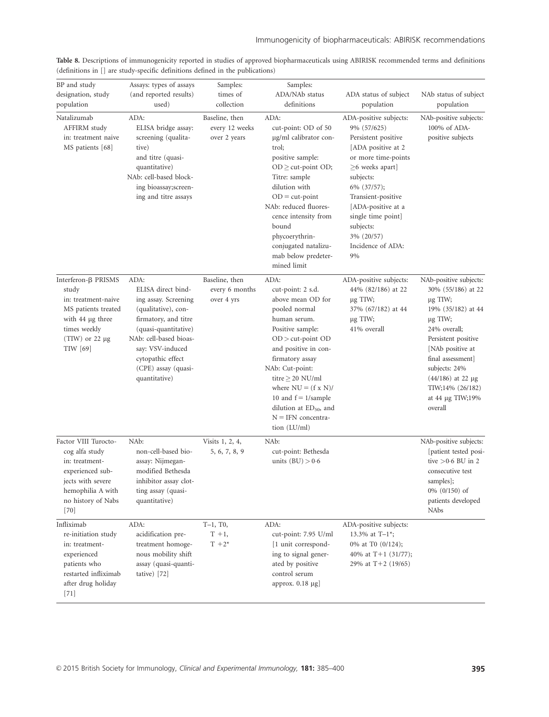| BP and study<br>designation, study<br>population                                                                                                       | Assays: types of assays<br>(and reported results)<br>used)                                                                                                                                                                           | Samples:<br>times of<br>collection               | Samples:<br>ADA/NAb status<br>definitions                                                                                                                                                                                                                                                                                                          | ADA status of subject<br>population                                                                                                                                                                                                                                                    | NAb status of subject<br>population                                                                                                                                                                                                                               |
|--------------------------------------------------------------------------------------------------------------------------------------------------------|--------------------------------------------------------------------------------------------------------------------------------------------------------------------------------------------------------------------------------------|--------------------------------------------------|----------------------------------------------------------------------------------------------------------------------------------------------------------------------------------------------------------------------------------------------------------------------------------------------------------------------------------------------------|----------------------------------------------------------------------------------------------------------------------------------------------------------------------------------------------------------------------------------------------------------------------------------------|-------------------------------------------------------------------------------------------------------------------------------------------------------------------------------------------------------------------------------------------------------------------|
| Natalizumab<br>AFFIRM study<br>in: treatment naive<br>MS patients [68]                                                                                 | ADA:<br>ELISA bridge assay:<br>screening (qualita-<br>tive)<br>and titre (quasi-<br>quantitative)<br>NAb: cell-based block-<br>ing bioassay; screen-<br>ing and titre assays                                                         | Baseline, then<br>every 12 weeks<br>over 2 years | ADA:<br>cut-point: OD of 50<br>µg/ml calibrator con-<br>trol;<br>positive sample:<br>$OD$ > cut-point $OD$ ;<br>Titre: sample<br>dilution with<br>$OD = cut$ -point<br>NAb: reduced fluores-<br>cence intensity from<br>bound<br>phycoerythrin-<br>conjugated natalizu-<br>mab below predeter-<br>mined limit                                      | ADA-positive subjects:<br>9% (57/625)<br>Persistent positive<br>[ADA positive at 2<br>or more time-points<br>$\geq$ 6 weeks apart]<br>subjects:<br>6% (37/57);<br>Transient-positive<br>[ADA-positive at a<br>single time point]<br>subjects:<br>3% (20/57)<br>Incidence of ADA:<br>9% | NAb-positive subjects:<br>100% of ADA-<br>positive subjects                                                                                                                                                                                                       |
| Interferon-β PRISMS<br>study<br>in: treatment-naive<br>MS patients treated<br>with 44 µg three<br>times weekly<br>(TIW) or 22 $\mu$ g<br>TIW [69]      | ADA:<br>ELISA direct bind-<br>ing assay. Screening<br>(qualitative), con-<br>firmatory, and titre<br>(quasi-quantitative)<br>NAb: cell-based bioas-<br>say: VSV-induced<br>cytopathic effect<br>(CPE) assay (quasi-<br>quantitative) | Baseline, then<br>every 6 months<br>over 4 yrs   | ADA:<br>cut-point: 2 s.d.<br>above mean OD for<br>pooled normal<br>human serum.<br>Positive sample:<br>$OD$ > cut-point $OD$<br>and positive in con-<br>firmatory assay<br>NAb: Cut-point:<br>titre $\geq$ 20 NU/ml<br>where $NU = (f \times N)$ /<br>10 and $f = 1/sample$<br>dilution at $ED_{50}$ , and<br>$N = IFN$ concentra-<br>tion (LU/ml) | ADA-positive subjects:<br>44% (82/186) at 22<br>μg TIW;<br>37% (67/182) at 44<br>μg TIW;<br>41% overall                                                                                                                                                                                | NAb-positive subjects:<br>30% (55/186) at 22<br>μg TIW;<br>19% (35/182) at 44<br>μg TIW;<br>24% overall;<br>Persistent positive<br>[NAb positive at<br>final assessment]<br>subjects: 24%<br>(44/186) at 22 µg<br>TIW;14% (26/182)<br>at 44 μg TIW;19%<br>overall |
| Factor VIII Turocto-<br>cog alfa study<br>in: treatment-<br>experienced sub-<br>jects with severe<br>hemophilia A with<br>no history of Nabs<br>$[70]$ | NA <sub>b</sub> :<br>non-cell-based bio-<br>assay: Nijmegan-<br>modified Bethesda<br>inhibitor assay clot-<br>ting assay (quasi-<br>quantitative)                                                                                    | Visits 1, 2, 4,<br>5, 6, 7, 8, 9                 | NA <sub>b</sub> :<br>cut-point: Bethesda<br>units $(BU) > 0.6$                                                                                                                                                                                                                                                                                     |                                                                                                                                                                                                                                                                                        | NAb-positive subjects:<br>[patient tested posi-<br>tive $>0.6$ BU in 2<br>consecutive test<br>samples];<br>0% (0/150) of<br>patients developed<br><b>NAbs</b>                                                                                                     |
| Infliximab<br>re-initiation study<br>in: treatment-<br>experienced<br>patients who<br>restarted infliximab<br>after drug holiday<br>$[71]$             | ADA:<br>acidification pre-<br>treatment homoge-<br>nous mobility shift<br>assay (quasi-quanti-<br>tative) $[72]$                                                                                                                     | $T-1$ , T $0$ ,<br>$T + 1$ ,<br>$T + 2^*$        | ADA:<br>cut-point: 7.95 U/ml<br>[1 unit correspond-<br>ing to signal gener-<br>ated by positive<br>control serum<br>approx. 0.18 µg]                                                                                                                                                                                                               | ADA-positive subjects:<br>13.3% at $T-1^*$ ;<br>0% at T0 (0/124);<br>40% at $T+1$ (31/77);<br>29% at $T+2$ (19/65)                                                                                                                                                                     |                                                                                                                                                                                                                                                                   |

|  | Table 8. Descriptions of immunogenicity reported in studies of approved biopharmaceuticals using ABIRISK recommended terms and definitions |  |  |  |  |  |
|--|--------------------------------------------------------------------------------------------------------------------------------------------|--|--|--|--|--|
|  | (definitions in [] are study-specific definitions defined in the publications)                                                             |  |  |  |  |  |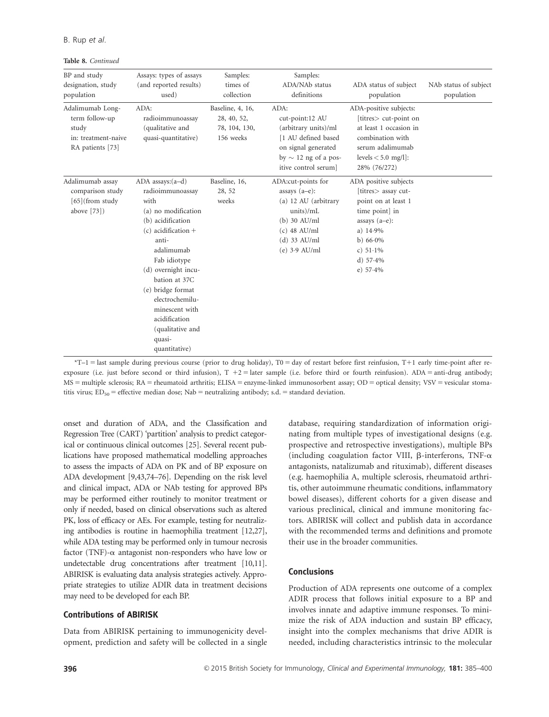Table 8. Continued

| BP and study<br>designation, study<br>population                                       | Assays: types of assays<br>(and reported results)<br>used)                                                                                                                                                                                                                                                                    | Samples:<br>times of<br>collection                            | Samples:<br>ADA/NAb status<br>definitions                                                                                                            | ADA status of subject<br>population                                                                                                                                                | NAb status of subject<br>population |
|----------------------------------------------------------------------------------------|-------------------------------------------------------------------------------------------------------------------------------------------------------------------------------------------------------------------------------------------------------------------------------------------------------------------------------|---------------------------------------------------------------|------------------------------------------------------------------------------------------------------------------------------------------------------|------------------------------------------------------------------------------------------------------------------------------------------------------------------------------------|-------------------------------------|
| Adalimumab Long-<br>term follow-up<br>study<br>in: treatment-naive<br>RA patients [73] | ADA:<br>radioimmunoassay<br>(qualitative and<br>quasi-quantitative)                                                                                                                                                                                                                                                           | Baseline, 4, 16,<br>28, 40, 52,<br>78, 104, 130,<br>156 weeks | ADA:<br>cut-point:12 AU<br>(arbitrary units)/ml<br>[1 AU defined based<br>on signal generated<br>by $\sim$ 12 ng of a pos-<br>itive control serum]   | ADA-positive subjects:<br>[titres> cut-point on<br>at least 1 occasion in<br>combination with<br>serum adalimumab<br>levels $<$ 5.0 mg/l]:<br>28% (76/272)                         |                                     |
| Adalimumab assay<br>comparison study<br>$[65]$ (from study<br>above [73])              | ADA assays: $(a-d)$<br>radioimmunoassay<br>with<br>(a) no modification<br>(b) acidification<br>$(c)$ acidification +<br>anti-<br>adalimumab<br>Fab idiotype<br>(d) overnight incu-<br>bation at 37C<br>(e) bridge format<br>electrochemilu-<br>minescent with<br>acidification<br>(qualitative and<br>quasi-<br>quantitative) | Baseline, 16,<br>28, 52<br>weeks                              | ADA:cut-points for<br>assays $(a-e)$ :<br>(a) 12 AU (arbitrary<br>units)/mL<br>$(b)$ 30 AU/ml<br>$(c)$ 48 AU/ml<br>$(d)$ 33 AU/ml<br>$(e)$ 3.9 AU/ml | ADA positive subjects<br>[titres> assay cut-<br>point on at least 1<br>time point] in<br>assays $(a-e)$ :<br>a) $14.9%$<br>b) $66.0\%$<br>c) $51.1\%$<br>d) $57.4\%$<br>e) $57.4%$ |                                     |

 $T-I =$  last sample during previous course (prior to drug holiday), T0 = day of restart before first reinfusion, T+1 early time-point after reexposure (i.e. just before second or third infusion),  $T + 2$  = later sample (i.e. before third or fourth reinfusion). ADA = anti-drug antibody;  $MS =$  multiple sclerosis;  $RA =$  rheumatoid arthritis; ELISA = enzyme-linked immunosorbent assay; OD = optical density; VSV = vesicular stomatitis virus;  $ED_{50}$  = effective median dose; Nab = neutralizing antibody; s.d. = standard deviation.

onset and duration of ADA, and the Classification and Regression Tree (CART) 'partition' analysis to predict categorical or continuous clinical outcomes [25]. Several recent publications have proposed mathematical modelling approaches to assess the impacts of ADA on PK and of BP exposure on ADA development [9,43,74–76]. Depending on the risk level and clinical impact, ADA or NAb testing for approved BPs may be performed either routinely to monitor treatment or only if needed, based on clinical observations such as altered PK, loss of efficacy or AEs. For example, testing for neutralizing antibodies is routine in haemophilia treatment [12,27], while ADA testing may be performed only in tumour necrosis factor (TNF)- $\alpha$  antagonist non-responders who have low or undetectable drug concentrations after treatment [10,11]. ABIRISK is evaluating data analysis strategies actively. Appropriate strategies to utilize ADIR data in treatment decisions may need to be developed for each BP.

# Contributions of ABIRISK

Data from ABIRISK pertaining to immunogenicity development, prediction and safety will be collected in a single

database, requiring standardization of information originating from multiple types of investigational designs (e.g. prospective and retrospective investigations), multiple BPs (including coagulation factor VIII,  $\beta$ -interferons, TNF- $\alpha$ antagonists, natalizumab and rituximab), different diseases (e.g. haemophilia A, multiple sclerosis, rheumatoid arthritis, other autoimmune rheumatic conditions, inflammatory bowel diseases), different cohorts for a given disease and various preclinical, clinical and immune monitoring factors. ABIRISK will collect and publish data in accordance with the recommended terms and definitions and promote their use in the broader communities.

# **Conclusions**

Production of ADA represents one outcome of a complex ADIR process that follows initial exposure to a BP and involves innate and adaptive immune responses. To minimize the risk of ADA induction and sustain BP efficacy, insight into the complex mechanisms that drive ADIR is needed, including characteristics intrinsic to the molecular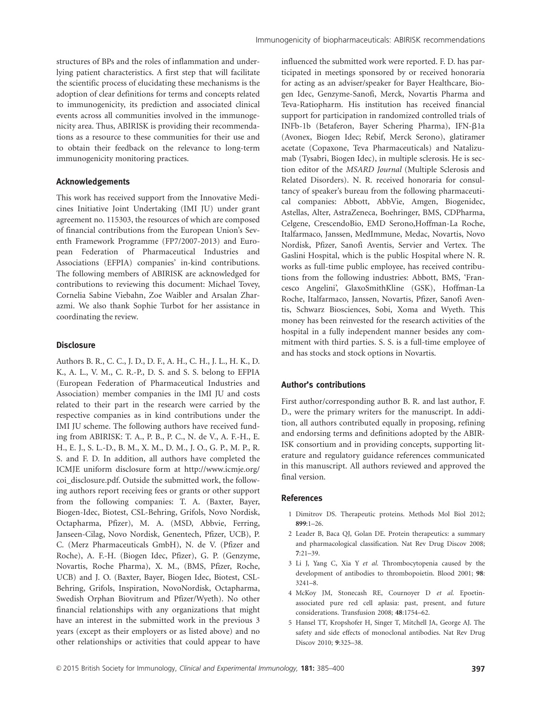structures of BPs and the roles of inflammation and underlying patient characteristics. A first step that will facilitate the scientific process of elucidating these mechanisms is the adoption of clear definitions for terms and concepts related to immunogenicity, its prediction and associated clinical events across all communities involved in the immunogenicity area. Thus, ABIRISK is providing their recommendations as a resource to these communities for their use and to obtain their feedback on the relevance to long-term immunogenicity monitoring practices.

### Acknowledgements

This work has received support from the Innovative Medicines Initiative Joint Undertaking (IMI JU) under grant agreement no. 115303, the resources of which are composed of financial contributions from the European Union's Seventh Framework Programme (FP7/2007-2013) and European Federation of Pharmaceutical Industries and Associations (EFPIA) companies' in-kind contributions. The following members of ABIRISK are acknowledged for contributions to reviewing this document: Michael Tovey, Cornelia Sabine Viebahn, Zoe Waibler and Arsalan Zharazmi. We also thank Sophie Turbot for her assistance in coordinating the review.

#### **Disclosure**

Authors B. R., C. C., J. D., D. F., A. H., C. H., J. L., H. K., D. K., A. L., V. M., C. R.-P., D. S. and S. S. belong to EFPIA (European Federation of Pharmaceutical Industries and Association) member companies in the IMI JU and costs related to their part in the research were carried by the respective companies as in kind contributions under the IMI JU scheme. The following authors have received funding from ABIRISK: T. A., P. B., P. C., N. de V., A. F.-H., E. H., E. J., S. L.-D., B. M., X. M., D. M., J. O., G. P., M. P., R. S. and F. D. In addition, all authors have completed the ICMJE uniform disclosure form at [http://www.icmje.org/](http://www.icmje.org/coi_disclosure.pdf) coi disclosure.pdf. Outside the submitted work, the following authors report receiving fees or grants or other support from the following companies: T. A. (Baxter, Bayer, Biogen-Idec, Biotest, CSL-Behring, Grifols, Novo Nordisk, Octapharma, Pfizer), M. A. (MSD, Abbvie, Ferring, Janseen-Cilag, Novo Nordisk, Genentech, Pfizer, UCB), P. C. (Merz Pharmaceuticals GmbH), N. de V. (Pfizer and Roche), A. F.-H. (Biogen Idec, Pfizer), G. P. (Genzyme, Novartis, Roche Pharma), X. M., (BMS, Pfizer, Roche, UCB) and J. O. (Baxter, Bayer, Biogen Idec, Biotest, CSL-Behring, Grifols, Inspiration, NovoNordisk, Octapharma, Swedish Orphan Biovitrum and Pfizer/Wyeth). No other financial relationships with any organizations that might have an interest in the submitted work in the previous 3 years (except as their employers or as listed above) and no other relationships or activities that could appear to have

influenced the submitted work were reported. F. D. has participated in meetings sponsored by or received honoraria for acting as an adviser/speaker for Bayer Healthcare, Biogen Idec, Genzyme-Sanofi, Merck, Novartis Pharma and Teva-Ratiopharm. His institution has received financial support for participation in randomized controlled trials of INFb-1b (Betaferon, Bayer Schering Pharma), IFN-ß1a (Avonex, Biogen Idec; Rebif, Merck Serono), glatiramer acetate (Copaxone, Teva Pharmaceuticals) and Natalizumab (Tysabri, Biogen Idec), in multiple sclerosis. He is section editor of the MSARD Journal (Multiple Sclerosis and Related Disorders). N. R. received honoraria for consultancy of speaker's bureau from the following pharmaceutical companies: Abbott, AbbVie, Amgen, Biogenidec, Astellas, Alter, AstraZeneca, Boehringer, BMS, CDPharma, Celgene, CrescendoBio, EMD Serono,Hoffman-La Roche, Italfarmaco, Janssen, MedImmune, Medac, Novartis, Novo Nordisk, Pfizer, Sanofi Aventis, Servier and Vertex. The Gaslini Hospital, which is the public Hospital where N. R. works as full-time public employee, has received contributions from the following industries: Abbott, BMS, 'Francesco Angelini', GlaxoSmithKline (GSK), Hoffman-La Roche, Italfarmaco, Janssen, Novartis, Pfizer, Sanofi Aventis, Schwarz Biosciences, Sobi, Xoma and Wyeth. This money has been reinvested for the research activities of the hospital in a fully independent manner besides any commitment with third parties. S. S. is a full-time employee of and has stocks and stock options in Novartis.

# Author's contributions

First author/corresponding author B. R. and last author, F. D., were the primary writers for the manuscript. In addition, all authors contributed equally in proposing, refining and endorsing terms and definitions adopted by the ABIR-ISK consortium and in providing concepts, supporting literature and regulatory guidance references communicated in this manuscript. All authors reviewed and approved the final version.

### References

- 1 Dimitrov DS. Therapeutic proteins. Methods Mol Biol 2012;  $899:1 - 26$
- 2 Leader B, Baca QJ, Golan DE. Protein therapeutics: a summary and pharmacological classification. Nat Rev Drug Discov 2008; 7:21–39.
- 3 Li J, Yang C, Xia Y et al. Thrombocytopenia caused by the development of antibodies to thrombopoietin. Blood 2001; 98: 3241–8.
- 4 McKoy JM, Stonecash RE, Cournoyer D et al. Epoetinassociated pure red cell aplasia: past, present, and future considerations. Transfusion 2008; 48:1754–62.
- 5 Hansel TT, Kropshofer H, Singer T, Mitchell JA, George AJ. The safety and side effects of monoclonal antibodies. Nat Rev Drug Discov 2010; 9:325–38.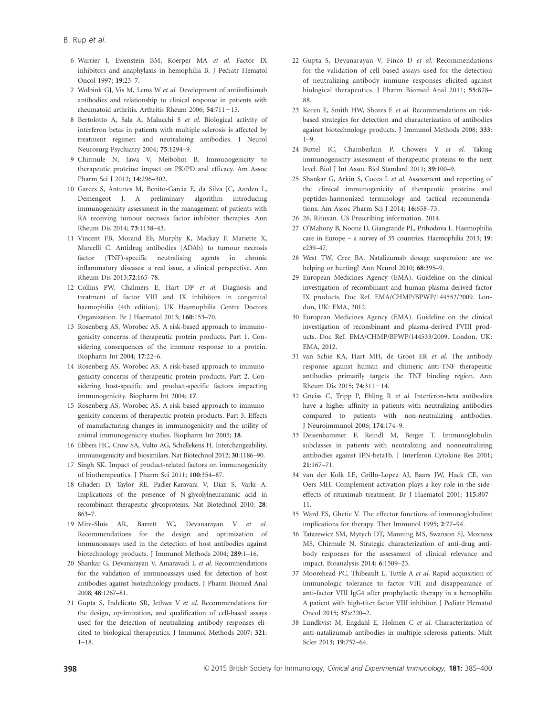- 6 Warrier I, Ewenstein BM, Koerper MA et al. Factor IX inhibitors and anaphylaxis in hemophilia B. J Pediatr Hematol Oncol 1997; 19:23–7.
- 7 Wolbink GJ, Vis M, Lems W et al. Development of antiinfliximab antibodies and relationship to clinical response in patients with rheumatoid arthritis. Arthritis Rheum 2006;  $54:711-15$ .
- 8 Bertolotto A, Sala A, Malucchi S et al. Biological activity of interferon betas in patients with multiple sclerosis is affected by treatment regimen and neutralising antibodies. J Neurol Neurosurg Psychiatry 2004; 75:1294–9.
- 9 Chirmule N, Jawa V, Meibohm B. Immunogenicity to therapeutic proteins: impact on PK/PD and efficacy. Am Assoc Pharm Sci J 2012; 14:296–302.
- 10 Garces S, Antunes M, Benito-Garcia E, da Silva JC, Aarden L, Demengeot J. A preliminary algorithm introducing immunogenicity assessment in the management of patients with RA receiving tumour necrosis factor inhibitor therapies. Ann Rheum Dis 2014; 73:1138–43.
- 11 Vincent FB, Morand EF, Murphy K, Mackay F, Mariette X, Marcelli C. Antidrug antibodies (ADAb) to tumour necrosis factor (TNF)-specific neutralising agents in chronic inflammatory diseases: a real issue, a clinical perspective. Ann Rheum Dis 2013;72:165–78.
- 12 Collins PW, Chalmers E, Hart DP et al. Diagnosis and treatment of factor VIII and IX inhibitors in congenital haemophilia (4th edition). UK Haemophilia Centre Doctors Organization. Br J Haematol 2013; 160:153–70.
- 13 Rosenberg AS, Worobec AS. A risk-based approach to immunogenicity concerns of therapeutic protein products. Part 1. Considering consequences of the immune response to a protein. Biopharm Int 2004; 17:22–6.
- 14 Rosenberg AS, Worobec AS. A risk-based approach to immunogenicity concerns of therapeutic protein products. Part 2. Considering host-specific and product-specific factors impacting immunogenicity. Biopharm Int 2004; 17.
- 15 Rosenberg AS, Worobec AS. A risk-based approach to immunogenicity concerns of therapeutic protein products. Part 3. Effects of manufacturing changes in immunogenicity and the utility of animal immunogenicity studies. Biopharm Int 2005; 18.
- 16 Ebbers HC, Crow SA, Vulto AG, Schellekens H. Interchangeability, immunogenicity and biosimilars. Nat Biotechnol 2012; 30:1186–90.
- 17 Singh SK. Impact of product-related factors on immunogenicity of biotherapeutics. J Pharm Sci 2011; 100:354–87.
- 18 Ghaderi D, Taylor RE, Padler-Karavani V, Diaz S, Varki A. Implications of the presence of N-glycolylneuraminic acid in recombinant therapeutic glycoproteins. Nat Biotechnol 2010; 28: 863–7.
- 19 Mire-Sluis AR, Barrett YC, Devanarayan V et al. Recommendations for the design and optimization of immunoassays used in the detection of host antibodies against biotechnology products. J Immunol Methods 2004; 289:1–16.
- 20 Shankar G, Devanarayan V, Amaravadi L et al. Recommendations for the validation of immunoassays used for detection of host antibodies against biotechnology products. J Pharm Biomed Anal 2008; 48:1267–81.
- 21 Gupta S, Indelicato SR, Jethwa V et al. Recommendations for the design, optimization, and qualification of cell-based assays used for the detection of neutralizing antibody responses elicited to biological therapeutics. J Immunol Methods 2007; 321: 1–18.
- 22 Gupta S, Devanarayan V, Finco D et al. Recommendations for the validation of cell-based assays used for the detection of neutralizing antibody immune responses elicited against biological therapeutics. J Pharm Biomed Anal 2011; 55:878– 88.
- 23 Koren E, Smith HW, Shores E et al. Recommendations on riskbased strategies for detection and characterization of antibodies against biotechnology products. J Immunol Methods 2008; 333:  $1-9.$
- 24 Buttel IC, Chamberlain P, Chowers Y et al. Taking immunogenicity assessment of therapeutic proteins to the next level. Biol J Int Assoc Biol Standard 2011; 39:100–9.
- 25 Shankar G, Arkin S, Cocea L et al. Assessment and reporting of the clinical immunogenicity of therapeutic proteins and peptides-harmonized terminology and tactical recommendations. Am Assoc Pharm Sci J 2014; 16:658–73.
- 26 26. Rituxan. US Prescribing information. 2014.
- 27 O'Mahony B, Noone D, Giangrande PL, Prihodova L. Haemophilia care in Europe – a survey of 35 countries. Haemophilia 2013; 19: e239–47.
- 28 West TW, Cree BA. Natalizumab dosage suspension: are we helping or hurting? Ann Neurol 2010; 68:395–9.
- 29 European Medicines Agency (EMA). Guideline on the clinical investigation of recombinant and human plasma-derived factor IX products. Doc Ref. EMA/CHMP/BPWP/144552/2009. London, UK: EMA, 2012.
- 30 European Medicines Agency (EMA). Guideline on the clinical investigation of recombinant and plasma-derived FVIII products. Doc Ref. EMA/CHMP/BPWP/144533/2009. London, UK: EMA, 2012.
- 31 van Schie KA, Hart MH, de Groot ER et al. The antibody response against human and chimeric anti-TNF therapeutic antibodies primarily targets the TNF binding region. Ann Rheum Dis 2015; 74:311-14.
- 32 Gneiss C, Tripp P, Ehling R et al. Interferon-beta antibodies have a higher affinity in patients with neutralizing antibodies compared to patients with non-neutralizing antibodies. J Neuroimmunol 2006; 174:174–9.
- 33 Deisenhammer F, Reindl M, Berger T. Immunoglobulin subclasses in patients with neutralizing and nonneutralizing antibodies against IFN-beta1b. J Interferon Cytokine Res 2001; 21:167–71.
- 34 van der Kolk LE, Grillo-Lopez AJ, Baars JW, Hack CE, van Oers MH. Complement activation plays a key role in the sideeffects of rituximab treatment. Br J Haematol 2001; 115:807– 11.
- 35 Ward ES, Ghetie V. The effector functions of immunoglobulins: implications for therapy. Ther Immunol 1995; 2:77–94.
- 36 Tatarewicz SM, Mytych DT, Manning MS, Swanson SJ, Moxness MS, Chirmule N. Strategic characterization of anti-drug antibody responses for the assessment of clinical relevance and impact. Bioanalysis 2014; 6:1509–23.
- 37 Moorehead PC, Thibeault L, Tuttle A et al. Rapid acquisition of immunologic tolerance to factor VIII and disappearance of anti-factor VIII IgG4 after prophylactic therapy in a hemophilia A patient with high-titer factor VIII inhibitor. J Pediatr Hematol Oncol 2015; 37:e220–2.
- 38 Lundkvist M, Engdahl E, Holmen C et al. Characterization of anti-natalizumab antibodies in multiple sclerosis patients. Mult Scler 2013; 19:757–64.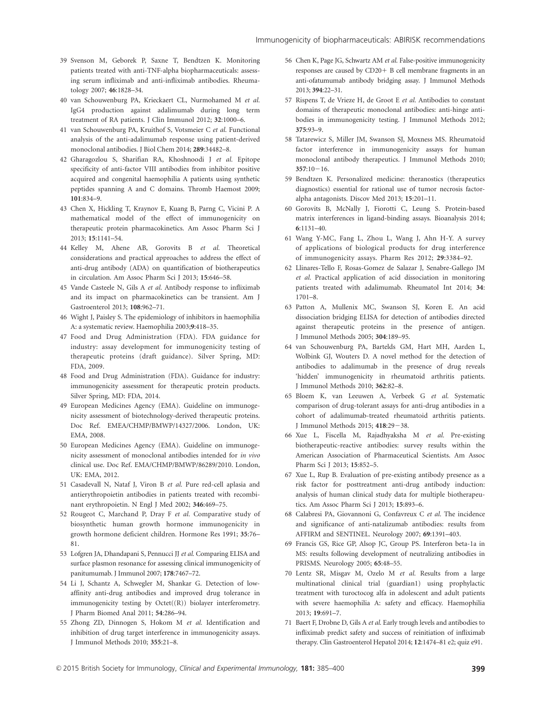- 39 Svenson M, Geborek P, Saxne T, Bendtzen K. Monitoring patients treated with anti-TNF-alpha biopharmaceuticals: assessing serum infliximab and anti-infliximab antibodies. Rheumatology 2007; 46:1828–34.
- 40 van Schouwenburg PA, Krieckaert CL, Nurmohamed M et al. IgG4 production against adalimumab during long term treatment of RA patients. J Clin Immunol 2012; 32:1000–6.
- 41 van Schouwenburg PA, Kruithof S, Votsmeier C et al. Functional analysis of the anti-adalimumab response using patient-derived monoclonal antibodies. J Biol Chem 2014; 289:34482–8.
- 42 Gharagozlou S, Sharifian RA, Khoshnoodi J et al. Epitope specificity of anti-factor VIII antibodies from inhibitor positive acquired and congenital haemophilia A patients using synthetic peptides spanning A and C domains. Thromb Haemost 2009; 101:834–9.
- 43 Chen X, Hickling T, Kraynov E, Kuang B, Parng C, Vicini P. A mathematical model of the effect of immunogenicity on therapeutic protein pharmacokinetics. Am Assoc Pharm Sci J 2013; 15:1141–54.
- 44 Kelley M, Ahene AB, Gorovits B et al. Theoretical considerations and practical approaches to address the effect of anti-drug antibody (ADA) on quantification of biotherapeutics in circulation. Am Assoc Pharm Sci J 2013; 15:646–58.
- 45 Vande Casteele N, Gils A et al. Antibody response to infliximab and its impact on pharmacokinetics can be transient. Am J Gastroenterol 2013; 108:962–71.
- 46 Wight J, Paisley S. The epidemiology of inhibitors in haemophilia A: a systematic review. Haemophilia 2003;9:418–35.
- 47 Food and Drug Administration (FDA). FDA guidance for industry: assay development for immunogenicity testing of therapeutic proteins (draft guidance). Silver Spring, MD: FDA, 2009.
- 48 Food and Drug Administration (FDA). Guidance for industry: immunogenicity assessment for therapeutic protein products. Silver Spring, MD: FDA, 2014.
- 49 European Medicines Agency (EMA). Guideline on immunogenicity assessment of biotechnology-derived therapeutic proteins. Doc Ref. EMEA/CHMP/BMWP/14327/2006. London, UK: EMA, 2008.
- 50 European Medicines Agency (EMA). Guideline on immunogenicity assessment of monoclonal antibodies intended for in vivo clinical use. Doc Ref. EMA/CHMP/BMWP/86289/2010. London, UK: EMA, 2012.
- 51 Casadevall N, Nataf J, Viron B et al. Pure red-cell aplasia and antierythropoietin antibodies in patients treated with recombinant erythropoietin. N Engl J Med 2002; 346:469–75.
- 52 Rougeot C, Marchand P, Dray F et al. Comparative study of biosynthetic human growth hormone immunogenicity in growth hormone deficient children. Hormone Res 1991; 35:76– 81.
- 53 Lofgren JA, Dhandapani S, Pennucci JJ et al. Comparing ELISA and surface plasmon resonance for assessing clinical immunogenicity of panitumumab. J Immunol 2007; 178:7467–72.
- 54 Li J, Schantz A, Schwegler M, Shankar G. Detection of lowaffinity anti-drug antibodies and improved drug tolerance in immunogenicity testing by Octet((R)) biolayer interferometry. J Pharm Biomed Anal 2011; 54:286–94.
- 55 Zhong ZD, Dinnogen S, Hokom M et al. Identification and inhibition of drug target interference in immunogenicity assays. J Immunol Methods 2010; 355:21–8.
- 56 Chen K, Page JG, Schwartz AM et al. False-positive immunogenicity responses are caused by CD20+ B cell membrane fragments in an anti-ofatumumab antibody bridging assay. J Immunol Methods 2013; 394:22–31.
- 57 Rispens T, de Vrieze H, de Groot E et al. Antibodies to constant domains of therapeutic monoclonal antibodies: anti-hinge antibodies in immunogenicity testing. J Immunol Methods 2012; 375:93–9.
- 58 Tatarewicz S, Miller JM, Swanson SJ, Moxness MS. Rheumatoid factor interference in immunogenicity assays for human monoclonal antibody therapeutics. J Immunol Methods 2010;  $357:10-16$ .
- 59 Bendtzen K. Personalized medicine: theranostics (therapeutics diagnostics) essential for rational use of tumor necrosis factoralpha antagonists. Discov Med 2013; 15:201–11.
- 60 Gorovits B, McNally J, Fiorotti C, Leung S. Protein-based matrix interferences in ligand-binding assays. Bioanalysis 2014; 6:1131–40.
- 61 Wang Y-MC, Fang L, Zhou L, Wang J, Ahn H-Y. A survey of applications of biological products for drug interference of immunogenicity assays. Pharm Res 2012; 29:3384–92.
- 62 Llinares-Tello F, Rosas-Gomez de Salazar J, Senabre-Gallego JM et al. Practical application of acid dissociation in monitoring patients treated with adalimumab. Rheumatol Int 2014; 34: 1701–8.
- 63 Patton A, Mullenix MC, Swanson SJ, Koren E. An acid dissociation bridging ELISA for detection of antibodies directed against therapeutic proteins in the presence of antigen. J Immunol Methods 2005; 304:189–95.
- 64 van Schouwenburg PA, Bartelds GM, Hart MH, Aarden L, Wolbink GJ, Wouters D. A novel method for the detection of antibodies to adalimumab in the presence of drug reveals 'hidden' immunogenicity in rheumatoid arthritis patients. J Immunol Methods 2010; 362:82–8.
- 65 Bloem K, van Leeuwen A, Verbeek G et al. Systematic comparison of drug-tolerant assays for anti-drug antibodies in a cohort of adalimumab-treated rheumatoid arthritis patients. J Immunol Methods 2015; 418:29-38.
- 66 Xue L, Fiscella M, Rajadhyaksha M et al. Pre-existing biotherapeutic-reactive antibodies: survey results within the American Association of Pharmaceutical Scientists. Am Assoc Pharm Sci J 2013; 15:852–5.
- 67 Xue L, Rup B. Evaluation of pre-existing antibody presence as a risk factor for posttreatment anti-drug antibody induction: analysis of human clinical study data for multiple biotherapeutics. Am Assoc Pharm Sci J 2013; 15:893–6.
- 68 Calabresi PA, Giovannoni G, Confavreux C et al. The incidence and significance of anti-natalizumab antibodies: results from AFFIRM and SENTINEL. Neurology 2007; 69:1391–403.
- 69 Francis GS, Rice GP, Alsop JC, Group PS. Interferon beta-1a in MS: results following development of neutralizing antibodies in PRISMS. Neurology 2005; 65:48–55.
- 70 Lentz SR, Misgav M, Ozelo M et al. Results from a large multinational clinical trial (guardian1) using prophylactic treatment with turoctocog alfa in adolescent and adult patients with severe haemophilia A: safety and efficacy. Haemophilia 2013; 19:691–7.
- 71 Baert F, Drobne D, Gils A et al. Early trough levels and antibodies to infliximab predict safety and success of reinitiation of infliximab therapy. Clin Gastroenterol Hepatol 2014; 12:1474–81 e2; quiz e91.